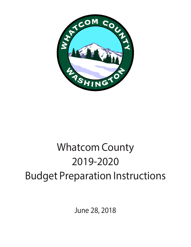

# Whatcom County 2019-2020 Budget Preparation Instructions

June 28, 2018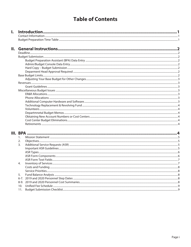### **Table of Contents**

| $\mathbf{I}$ . |                  |  |
|----------------|------------------|--|
|                |                  |  |
|                |                  |  |
|                |                  |  |
| II.            |                  |  |
|                |                  |  |
|                |                  |  |
|                |                  |  |
|                |                  |  |
|                |                  |  |
|                |                  |  |
|                |                  |  |
|                |                  |  |
|                |                  |  |
|                |                  |  |
|                |                  |  |
|                |                  |  |
|                |                  |  |
|                |                  |  |
|                |                  |  |
|                |                  |  |
|                |                  |  |
|                |                  |  |
|                |                  |  |
|                |                  |  |
|                |                  |  |
|                |                  |  |
|                |                  |  |
|                | 2.               |  |
|                | $\overline{3}$ . |  |
|                |                  |  |
|                |                  |  |

4.

5.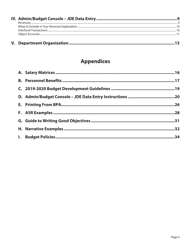## **Appendices**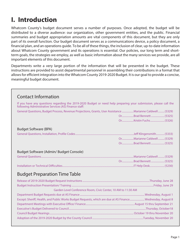## <span id="page-3-0"></span>**I. Introduction**

Whatcom County's budget document serves a number of purposes. Once adopted, the budget will be distributed to a diverse audience: our organization, other government entities, and the public. Financial summaries and budget appropriation amounts are vital components of this document, but they are only part of its overall function. Our budget document serves as a communications device, a policy document, a financial plan, and an operations guide. To be all of these things, the inclusion of clear, up-to-date information about Whatcom County government and its operations is essential. Our policies, our long term and shortterm goals, the strategies we employ, as well as basic information about the many services we provide, are all important elements of this document.

Departments write a very large portion of the information that will be presented in the budget. These instructions are provided to assist departmental personnel in assembling their contributions in a format that allows for efficient integration into the Whatcom County 2019-2020 Budget. It is our goal to provide a concise, meaningful budget document.

| <b>Contact Information</b>                                                                                                                                                |                             |
|---------------------------------------------------------------------------------------------------------------------------------------------------------------------------|-----------------------------|
| If you have any questions regarding the 2019-2020 Budget or need help preparing your submission, please call the<br>following Administrative Services (AS) Finance staff: |                             |
| General Questions, Budget Process, Revenue Projections, Grants, User Assistance  Marianne Caldwell  (5329)                                                                |                             |
|                                                                                                                                                                           | OrBrad Bennett  (5325)      |
|                                                                                                                                                                           |                             |
| <b>Budget Software (BPA)</b>                                                                                                                                              |                             |
|                                                                                                                                                                           |                             |
|                                                                                                                                                                           | OrMarianne Caldwell  (5329) |
|                                                                                                                                                                           | OrBrad Bennett  (5325)      |
| Budget Software (Admin/Budget Console)                                                                                                                                    |                             |
|                                                                                                                                                                           |                             |
|                                                                                                                                                                           |                             |
|                                                                                                                                                                           |                             |
| <b>Budget Preparation Time Table</b>                                                                                                                                      |                             |
|                                                                                                                                                                           |                             |
|                                                                                                                                                                           |                             |
| Garden Level Conference Room, Civic Center, 10 AM to 11:30 AM                                                                                                             |                             |
|                                                                                                                                                                           |                             |
| Except: Sheriff, Health, and Public Works Budget Requests, which are due at AS Finance Wednesday, August 8                                                                |                             |
|                                                                                                                                                                           |                             |
|                                                                                                                                                                           |                             |
|                                                                                                                                                                           |                             |
|                                                                                                                                                                           |                             |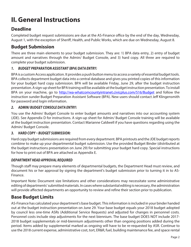# <span id="page-4-0"></span>**II. General Instructions**

### **Deadline**

Completed budget request submissions are due at the AS-Finance office by the end of the day, Wednesday, August 1, with the exception of Sheriff, Health, and Public Works, which are due on Wednesday, August 8.

### **Budget Submission**

There are three main elements to your budget submission. They are: 1) BPA data entry, 2) entry of budget amount and narratives through the Admin/ Budget Console, and 3) hard copy. All three are required to complete your budget submission.

### *1. BUDGET PREPARATION ASSISTANT (BPA) DATA ENTRY:*

BPA is a custom Access application. It provides a push button menu to access a variety of essential budget tools. BPA collects department budget data into a central database and gives you printed copies of this information for your budget hard copy submission. BPA will be available Friday, June 29, after the budget instruction presentation. A sign-up sheet for BPA training will be available at the budget instruction presentation. To install BPA on your machine, go to [http://wa-whatcomcountyintranet.civicplus.com/516/Budget](http://wa-whatcomcountyintranet.civicplus.com/516/Budget%20) and follow the instruction sunder Budget Preparation Assistant Software (BPA). New users should contact Jeff Klingensmith for password and login information.

### *2. ADMIN/ BUDGET CONSOLE DATA ENTRY:*

You use the Admin/ Budget Console to enter budget amounts and narratives into our accounting system (JDE). See Appendix D for instructions. A sign-up sheet for Admin/ Budget Console training will be available at the budget instruction presentation. Contact Marianne Caldwell if you have questions regarding using the Admin/ Budget Console.

#### *3. HARD COPY – BUDGET SUBMISSION:*

Hard copy budget submissions are required from every department. BPA printouts and the JDE budget reports combine to make up your departmental budget submission. Use the provided Budget Binder (distributed at the budget instructions presentation on June 29) for submitting your budget hard copy. Special instructions for how to print out of BPA are attached as Appendix E.

#### *DEPARTMENT HEAD APPROVAL REQUIRED*

Though staff may prepare many elements of departmental budgets, the Department Head must review, and document his or her approval by signing the department's budget submission prior to turning it in to AS-Finance.

Important Note: Document size limitations and other considerations may necessitate some administrative editing of departments' submitted materials. In cases where substantial editing is necessary, the administration will provide affected departments an opportunity to review and refine their section prior to publication.

### **Base Budget Limits**

AS-Finance has calculated your department's base budget. This information is included in your binder handed out at the budget instruction presentation on June 29. Your base budget equals your 2018 budget adopted by council less one-time ASRs (Additional Service Requests) and adjusted for changes in personnel costs. Personnel costs include step adjustments for the next biennium. The base budget DOES NOT include 2017- 2018 budget supplementals or mid-biennium adjustments other than ongoing positions added during the period. Items added by supplemental marked as ongoing will have to be re-requested by ASR. Continue to use the 2018 current expense, administrative cost, tort, ER&R, fuel, building maintenance fee, and space rental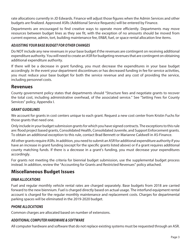<span id="page-5-0"></span>rate allocations currently in JD Edwards. Finance will adjust those figures when the Admin Services and other budgets are finalized. Approved ASRs (Additional Service Requests) will be entered by Finance.

Departments are encouraged to find creative ways to operate more efficiently. Departments may move resources between budget lines as they see fit, with the exception of no amounts should be moved from current expense, admin, tort, building maintenance fee, ER&R, fuel, or space rental allocation line items.

#### *ADJUSTING YOUR BASE BUDGET FOR OTHER CHANGES*

Do NOT include any new revenues in your base budget if the revenues are contingent on receiving additional expenditure authority. You will need to create an ASR for budgeting revenues that are contingent on obtaining additional expenditure authority.

If there will be a decrease in grant funding, you must decrease the expenditures in your base budget accordingly. In the event your department discontinues or has decreased funding in fee for service activities, you must reduce your base budget for both the service revenue and any cost of providing the service, including personnel costs.

### **Revenues**

County government policy states that departments should "Structure fees and negotiate grants to recover the total cost, including administrative overhead, of the associated service." See "Setting Fees for County Services" policy, Appendix I.

#### *GRANT GUIDELINES*

We account for grants in cost centers unique to each grant. Request a new cost center from Kristin Fuchs for those grants that need one.

Only include in your budget submission grants for which you have signed contracts. The exceptions to this rule are: flood project based grants, Consolidated Health, Consolidated Juvenile, and Support Enforcement grants. To obtain an additional exception to this rule, contact Brad Bennett or Marianne Caldwell in AS-Finance.

All other grants require ASRs. In addition, you need to submit an ASR for additional expenditure authority if you have an increase in grant funding (except for the specific grants listed above) or if a grant requires additional county matching funds. If there is a decrease in a grant's funding, you must decrease your expenditures accordingly.

For grants not meeting the criteria for biennial budget submission, use the supplemental budget process instead. In addition, review the "Accounting for Grants and Restricted Revenues" policy attached.

### **Miscellaneous Budget Issues**

### *ER&R ALLOCATIONS*

Fuel and regular monthly vehicle rental rates are charged separately. Base budgets from 2018 are carried forward to the new biennium. Fuel is charged directly based on actual usage. The interfund equipment rental account is charged for the regular monthly maintenance and replacement costs. Charges for departmental parking spaces will be eliminated in the 2019-2020 budget.

#### *PHONE ALLOCATIONS*

Common charges are allocated based on number of extensions.

#### *ADDITIONAL COMPUTER HARDWARE & SOFTWARE*

All computer hardware and software that do not replace existing systems must be requested through an ASR.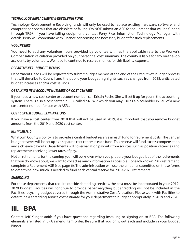#### <span id="page-6-0"></span>*TECHNOLOGY REPLACEMENT & REVOLVING FUND*

Technology Replacement & Revolving funds will only be used to replace existing hardware, software, and computer peripherals that are obsolete or failing. Do NOT submit an ASR for equipment that will be funded through TR&R. If you have failing equipment, contact Perry Rice, Information Technology Manager, with details. Perry will coordinate with Finance concerning the necessary budget for such replacements.

#### *VOLUNTEERS*

You need to add any volunteer hours provided by volunteers, times the applicable rate to the Worker's Compensation calculation provided on your personnel cost summary. The county is liable for any on-the-job accidents by volunteers. We need to continue to reserve monies for this liability expense.

#### *DEPARTMENTAL BUDGET MEMOS*

Department Heads will be requested to submit budget memos at the end of the Executive's budget process that will describe to Council and the public your budget highlights such as changes from 2018, anticipated budget increases and/or cost savings.

#### *OBTAINING NEW ACCOUNT NUMBERS OR COST CENTERS*

If you need a new cost center or account number, call Kristin Fuchs. She will set it up for you in the accounting system. There is also a cost center in BPA called "-NEW-" which you may use as a placeholder in lieu of a new cost center number for use with ASRs.

#### *COST CENTER BUDGET ELIMINATIONS*

If you have a cost center from 2018 that will not be used in 2019, it is important that you remove budget amounts from the 2019 and 2020 cost center.

#### *RETIREMENTS*

Whatcom County's policy is to provide a central budget reserve in each fund for retirement costs. The central budget reserve will be set up as a separate cost center in each fund. This reserve will fund excess compensation and sick leave payouts. Departments will cover vacation payouts from sources such as position vacancies and replacements receiving lower rates of pay.

Not all retirements for the coming year will be known when you prepare your budget, but of the retirements that you do know about, we want to collect as much information as possible. For each known 2019 retirement, complete a Retirement ASR (see page 6). The administration will use the amounts submitted on these forms to determine how much is needed to fund each central reserve for 2019-2020 retirements.

#### *SHREDDING*

For those departments that require outside shredding services, the cost must be incorporated in your 2019- 2020 budget. Facilities will continue to provide paper recycling but shredding will not be included in the Facilities recycling budget covered through the Administrative Cost Allocation. Please work with Facilities to determine a shredding service cost estimate for your department to budget appropriately in 2019 and 2020.

## **III. BPA**

Contact Jeff Klingensmith if you have questions regarding installing or signing on to BPA. The following elements are listed in BPA's menu item order. Be sure that you print out each and include in your Budget Binder.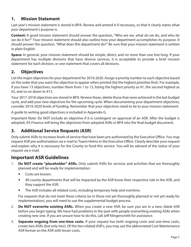### <span id="page-7-0"></span>**1. Mission Statement**

Last year's mission statement is stored in BPA. Review and amend it if necessary, so that it clearly states what your department's purpose is.

**Content:** A good mission statement should answer the question, "Who are we, what do we do, and who do we do it for?" Your mission statement should also outline how your department accomplishes its purpose. It should answer the question, "What does this department do?" Be sure that your mission statement is written in plain English.

**Space:** In general, your mission statement should be simple, direct, and no more than one line long. If your department has multiple divisions that have diverse services, it is acceptable to provide a brief mission statement for each division, or one statement that covers all divisions.

### **2. Objectives**

List the major objectives for your department for 2019-2020. Assign a priority number to each objective based on the order that you want the objective to appear when printed (list the highest priorities first). For example, if you have 13 objectives, number them from 1 to 13, listing the highest priority as #1, the second highest as #2, and so on down to #13.

Your 2017-2018 objectives are stored in BPA. Review these, delete those that were achieved in the last budget cycle, and add your new objectives for the upcoming cycle. When documenting your department objectives, consider 2019-2020 levels of funding. Remember that your objectives need to tie to your mission statement.

A guide to writing good objectives is included in Appendix G.

Important Note: Do NOT include an objective if it is contingent on approval of an ASR. After the budget is adopted, AS-Finance will bring the objectives from adopted ASRs in BPA into the final budget document.

### **3. Additional Service Requests (ASR)**

Only submit ASRs to increase levels of service that have been pre-authorized by the Executive Office. You may request ASR pre-authorization via e-mail to Tawni Helms in the Executive Office. Clearly describe your request and explain why it is necessary for the County to fund this service. You will be advised of the status of your request via e-mail.

### **Important ASR Guidelines**

- 1. **Do NOT create "placeholder" ASRs.** Only submit ASRs for services and activities that are thoroughly planned and will be ready for implementation:
	- Costs are known.
	- All county departments that will be impacted by the ASR know their respective role in the ASR, and they support the ASR.
	- The ASR includes all related costs, including temporary help and overtime.

For requests that do not meet these criteria (as in those not yet thoroughly planned or not yet ready for implementation), you will need to use the supplemental budget process.

- 2. **Do NOT overwrite existing ASRs.** When you create a new ASR, be sure you are in a new, blank ASR before you begin typing. We have had problems in the past with people overwriting existing ASRs when creating new one. If you are unsure how to do this, call Jeff Klingensmith for assistance.
- 3. **Separate ongoing from one-time costs.** If your request has both ongoing costs and one-time costs, create two ASRs (but only two). Of the two related ASR's, you may use the abbreviated Cost Maintenance ASR format on the ASR with lesser costs.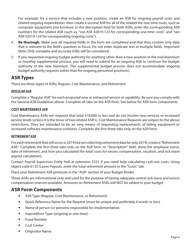<span id="page-8-0"></span>For example, for a service that includes a new position, create an ASR for ongoing payroll costs and related ongoing expenditures; then create a second ASR for all of the related the one-time costs, such as computer equipment and furniture. In the description field for both ASRs, enter the corresponding ASR numbers for the related ASR (such as, "see ASR #2019-123 for corresponding one-time costs" and "see ASR #2019-124 for corresponding ongoing costs").

- 4. **Be thorough.** Make sure all required fields in the form are completed and that they contain only data that is relevant to the field's question or focus. Do not enter duplicate text in multiple fields. Important Note: Only complete and accurate ASRs will be considered.
- 5. If you requested ongoing budget authority for anything other than a new position in the mid-biennium or monthly supplemental process, you will need to submit for an ongoing ASR to continue the budget authority in the new biennium. The supplemental budget process does not accommodate ongoing budget authority requests (other than for ongoing personnel positions).

### **ASR Types**

There are three types of ASRs: Regular, Cost Maintenance, and Retirement.

#### *REGULAR ASR*

Complete a "Regular ASR" for each proposed new or enhanced service or capability. Be sure you comply with the General ASR Guidelines above. Complete all tabs on the ASR form. See below for ASR form components.

#### *COST MAINTENANCE ASR*

Cost Maintenance ASRs are requests that total \$10,000 or less and do not involve new services or increased service levels (unless it is the lesser of two related ASR's). Cost Maintenance Requests are subject to the above restrictions. They are intended to be an easy means of requesting replacements of failing equipment or increased software maintenance contracts. Complete the first three tabs only on the ASR form.

#### *RETIREMENT ASR*

For each retirement that will occur in 2019 (we are collecting retirement data for only 2019), create a "Retirement ASR." Complete the first three tabs only on the ASR form. In "Description" field, show the employee name, date of retirement, and how you calculated the total costs for excess compensation, vacation, and sick leave payout calculations.

Contact Payroll Supervisor Emily Hull at extension 5331 if you need help calculating cash-out costs. Using object code 6135 (Leave Payout), enter the total retirement amount in the "Costs" tab.

Place your Retirement ASR printouts in the "ASR" section of your Budget Binder.

These ASRs are informational only and used for the purpose of having adequate central sick leave and excess compensation reserves available. Amounts on Retirement ASRs will NOT be added to your budget.

### **ASR Form Components**

- ASR Type (Regular, Cost Maintenance, or Retirement)
- Quick Reference Name for the Request (must be unique and preferably 6 words or less).
- Name of person (or persons) responsible for implementation.
- Expenditure Type (ongoing or one-time)
- Fund Number
- Cost Center
- **•** Originator Name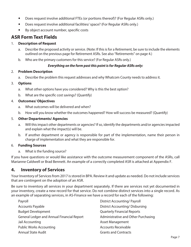- <span id="page-9-0"></span>• Does request involve additional FTEs (or portions thereof)? (For Regular ASRs only.)
- Does request involve additional facilities/ space? (For Regular ASRs only.)
- By object account number, specific costs

### **ASR Form Text Fields**

#### 1. **Description of Request**

- a. Describe the proposed activity or service. (Note: If this is for a Retirement, be sure to include the elements outlined on the previous page for Retirement ASRs. See also "Retirements" on page 4.)
- b. Who are the primary customers for this service? (For Regular ASRs only.)

#### *Everything on the form past this point is for Regular ASRs only:*

#### 2. **Problem Description**

a. Describe the problem this request addresses and why Whatcom County needs to address it.

#### 3. **Options**

- a. What other options have you considered? Why is this the best option?
- b. What are the specific cost savings? (Quantify)

#### 4. **Outcomes/ Objectives**

- a. What outcomes will be delivered and when?
- b. How will you know whether the outcomes happened? How will success be measured? (Quantify)

#### 5. **Other Departments/ Agencies**

- a. Will this impact other departments or agencies? If so, identify the departments and/or agencies impacted and explain what the impact(s) will be.
- b. If another department or agency is responsible for part of the implementation, name their person in charge of implementation and what they are responsible for.

#### 6. **Funding Sources**

a. What is the funding source?

If you have questions or would like assistance with the outcome measurement component of the ASRs, call Marianne Caldwell or Brad Bennett. An example of a correctly completed ASR is attached at Appendix F.

### **4. Inventory of Services**

Your Inventory of Services from 2017 is stored in BPA. Review it and update as needed. Do not include services that are contingent on the adoption of an ASR.

Be sure to inventory all services in your department separately. If there are services not yet documented in your inventory, create a new record for that service. Do not combine distinct services into a single record. As an example of separating services, in AS-Finance we have a record for each of the following:

| Payroll                                           | <b>District Accounting/Payroll</b>     |
|---------------------------------------------------|----------------------------------------|
| <b>Accounts Payable</b>                           | <b>District Accounting/ Disbursing</b> |
| <b>Budget Development</b>                         | <b>Quarterly Financial Reports</b>     |
| <b>General Ledger and Annual Financial Report</b> | Administrative and Other Purchasing    |
| Jail Accounting                                   | <b>Asset Management</b>                |
| <b>Public Works Accounting</b>                    | <b>Accounts Receivable</b>             |
| <b>Annual State Audit</b>                         | <b>Grants and Contracts</b>            |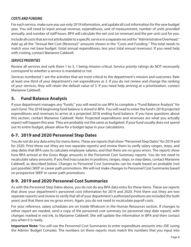#### <span id="page-10-0"></span>*COSTS AND FUNDING*

For each service, make sure you use only 2019 information, and update all cost information for the new budget year. You will need to input annual revenue, expenditures, unit of measurement, number of units provided annually, and number of staff hours. BPA will calculate the net cost (or revenue) and the per-unit cost for you.

Include all costs that are not attributable to a specific service in a separate record for "Administrative Overhead." Add up all the "Annual Net Cost (Revenue)" amounts shown in the "Costs and Funding." This total needs to match your net base budget: (total annual expenditures, less your total annual revenues). If you need help with costing, contact Marianne Caldwell.

#### *SERVICE PRIORITIES*

Review all services and rank them 1 to 3, 1 being mission critical. Service priority ratings do NOT necessarily correspond to whether a service is mandated or not.

Services numbered 1 are the activities that are most critical to the department's mission and outcomes. Rate at least one third of your department's net expenditures as 3. If you do not review and change the ranking of your services, they will retain the default value of 3. If you need help arriving at a prioritization, contact Marianne Caldwell.

### **5. Fund Balance Analysis**

If your department manages any "funds," you will need to use BPA to complete a "Fund Balance Analysis" for each fund. The 2018 beginning fund balance is stored in BPA. You will need to enter the fund's 2018 projected expenditures and revenues to arrive at a projected 2018 ending fund balance. If you have questions about this section, contact Marianne Caldwell. Note: Projected expenditures and revenues are what you actually expect will happen this year. They are probably not the same as budgeted. If your fund usually does not spend out its entire budget, please allow for a budget lapse in your calculations.

### **6-7. 2019 and 2020 Personnel Step Dates**

You do not do any data entry for menu items. These are reports that show "Personnel Step Dates" for 2019 and for 2020. Print these out (they are two separate reports) and review them to verify salary ranges, steps, and step dates that BPA uses to calculate employee salaries, and that there are no gross errors. The reports show how BPA arrived at the Gross Wage amounts in the Personnel Cost Summary reports. You do not need to recalculate salary amounts. If you find inaccuracies in positions, ranges, steps, or step dates, contact Marianne Caldwell, as described below. Changes to Personnel Cost Summaries can be made based on probable (not just possible) SKEP or career path promotions. We will not make changes to Personnel Cost Summaries based on prospective SKEP or career path promotions.

### **8-9. 2019 and 2020 Personnel Cost Summaries**

As with the Personnel Step Dates above, you do not do any BPA data entry for these items. These are reports that show your department's personnel cost information for 2019 and 2020. Print them out (they are two separate reports) and review to verify that all of your department's authorized positions are included (for both years) and that there are no gross errors. Again, you do not need to recalculate payroll costs.

For your reference, salary schedules are on Inside Whatcom in the Human Resources section. If changes to either report are needed, send a copy of the personnel cost summary (or personnel step date report), with changes marked in red ink, to Marianne Caldwell. She will update the information in BPA and then contact you when it is ready.

**Important Note:** You will use the Personnel Cost Summaries to enter expenditure amounts into JDE (using the Admin/ Budget Console). The numbers on these reports must match the numbers that you input into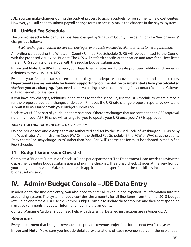<span id="page-11-0"></span>JDE. You can make changes during the budget process to assign budgets for personnel to new cost centers. However, you still need to submit payroll change forms to actually make the changes in the payroll system.

### **10. Unified Fee Schedule**

The unified fee schedule identifies most fees charged by Whatcom County. The definition of a "fee for service" charge is as follows:

*A set fee charged uniformly for services, privileges, or products provided to clients external to the organization.*

An ordinance adopting the Whatcom County Unified Fee Schedule (UFS) will be submitted to the Council with the proposed 2019-2020 Budget. The UFS will set forth specific authorization and rates for all fees listed therein. UFS submissions are due with the regular budget submission.

**Important Note:** Use BPA to review your department's rates and to create proposed additions, changes, or deletions to the 2019-2020 UFS.

Evaluate your fees and rates to ensure that they are adequate to cover both direct and indirect costs. **Departments are responsible for having supporting documentation to substantiate how you calculated the fees you are charging.** If you need help evaluating costs or determining fees, contact Marianne Caldwell or Brad Bennett for assistance.

If you have any changes, additions, or deletions to the fee schedule, use the UFS module to create a record for the proposed addition, change, or deletion. Print out the UFS rate change proposal report, review it, and submit it to AS-Finance with your budget submission.

Update your UFS as part of your budget preparation. If there are changes that are contingent on ASR approval, note this in your ASR. Finance will arrange for you to update your UFS once your ASR is approved.

### *WHAT TO EXCLUDE FROM THE UNIFIED FEE SCHEDULE*

Do not include fees and charges that are authorized and set by the Revised Code of Washington (RCW) or by the Washington Administrative Code (WAC) in the Unified Fee Schedule. If the RCW or WAC says the county "may charge" or "may charge up to" rather than "shall" or "will" charge, the fee must be adopted in the Unified Fee Schedule.

### **11. Budget Submission Checklist**

Complete a "Budget Submission Checklist" (one per department). The Department Head needs to review the department's entire budget submission and sign the checklist. The signed checklist goes at the very front of your budget submission. Make sure that each applicable item specified on the checklist is included in your budget submission.

## **IV. Admin/ Budget Console – JDE Data Entry**

In addition to the BPA data entry, you also need to enter all revenue and expenditure information into the accounting system. The system already contains the amounts for all line items from the final 2018 budget (excluding one-time ASRs). Use the Admin/ Budget Console to update these amounts and their corresponding narrative comments that detail information behind the amounts.

Contact Marianne Caldwell if you need help with data entry. Detailed instructions are in Appendix D.

### **Revenues**

Every department that budgets revenue must provide revenue projections for the next two fiscal years.

**Important Note:** Make sure you include detailed explanations of each revenue source in the explanation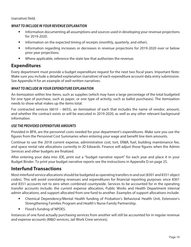<span id="page-12-0"></span>(narrative) field.

#### *WHAT TO INCLUDE IN YOUR REVENUE EXPLANATION*

- Information documenting all assumptions and sources used in developing your revenue projections for 2019-2020.
- Information on the expected timing of receipts (monthly, quarterly, and other).
- Information regarding increases or decreases in revenue projections for 2019-2020 over or below prior year projections.
- Where applicable, reference the state law that authorizes the revenue.

### **Expenditures**

Every department must provide a budget expenditure request for the next two fiscal years. Important Note: Make sure you include a detailed explanation (narrative) of each expenditure account data entry submission. See Appendix H for an example of well-written narratives.

#### *WHAT TO INCLUDE IN YOUR EXPENDITURE EXPLANATION*

An itemization within line items, such as supplies (which may have a large percentage of the total budgeted for one type of purchase, such as paper, or one type of activity, such as ballot purchases). The itemization needs to show what makes up the items total.

For contracted services (6610 – 6655), an itemization of each that includes the name of vendor, amount, and whether the contract exists or will be executed in 2019-2020, as well as any other relevant background information.

#### *USE THE PROVIDED EXPENDITURE AMOUNTS*

Provided in BPA, are the personnel costs needed for your department's expenditures. Make sure you use the figures from the Personnel Cost Summaries when entering your wage and benefit line item amounts.

Continue to use the 2018 current expense, administrative cost, tort, ER&R, fuel, building maintenance fee, and space rental rate allocations currently in JD Edwards. Finance will adjust those figures when the Admin Services and other budgets are finalized.

After entering your data into JDE, print out a "budget narrative report" for each year and place it in your Budget Binder. To print your budget narrative reports see the instructions in Appendix D on page 25.

### **Interfund Transactions**

Most interfund service allocations should be budgeted as operating transfers in and out (8301 and 8351 object codes). This will avoid overstating revenues and expenditures for financial reporting purposes since 8301 and 8351 accounts net to zero when combined countywide. Services to be accounted for in the operating transfer accounts include: the current expense allocation, Public Works and Health Department internal admin allocations, and support allocated from one fund to another. Examples of support allocations include:

- y Chemical Dependency/Mental Health funding of Probation's Behavioral Health Unit, Extension's Strengthening Families Program and Health's Nurse Family Partnership.
- Flood's funding of NPDES.

Instances of one fund actually purchasing services from another will still be accounted for in regular revenue and expense accounts (M&O services, Jail Work Crew services).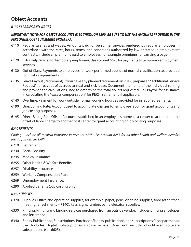### <span id="page-13-0"></span>**Object Accounts**

#### *6100 SALARIES AND WAGES*

#### *IMPORTANT NOTE: FOR OBJECT ACCOUNTS 6110 THROUGH 6290, BE SURE TO USE THE AMOUNTS PROVIDED IN THE PERSONNEL COST SUMMARIES FROM BPA.*

- 6110 Regular salaries and wages. Amounts paid for personnel services rendered by regular employees in accordance with the rates, hours, terms, and conditions authorized by law or stated in employment contracts. Include all premiums paid to employees, for example premiums for carrying a pager.
- 6120 Extra Help. Wages for temporary employees. Use account 6620 for payments to temporary employment services.
- 6130 Out of Class. Payments to employees for work performed outside of normal classification, as provided for in labor agreements.
- 6135 Leave Payout (Retirement). If you have any planned retirements in 2019, prepare an "Additional Service Request" for payout of accrued annual and sick leave. Document the name of the individual retiring and provide the calculations used to determine the total dollars requested. Call Payroll for assistance in calculating the "excess compensation" for PERS I retirement, if applicable.
- 6140 Overtime. Payment for work outside normal working hours as provided for in labor agreements.
- 6190 Direct Billing Rate. Account used to accumulate charges for employee labor for grant accounting and job costing purposes.
- 6195 Direct Billing Rate Offset. Account established in an employee's home cost center to accumulate the offset of labor charge to another cost center for grant accounting or job costing purposes.

#### *6200 BENEFITS*

*Coding* – *Include all medical insurance in account 6245. Use account 6255 for all other health and welfare benefits (dental, vision, life, EAP).*

- 6210 Retirement.
- 6230 Social Security.
- 6245 Medical Insurance.
- 6255 Other Health & Welfare Benefits.
- 6257 Disability Insurance.
- 6259 Worker's Compensation Plan.
- 6269 Unemployment Insurance.
- 6290 Applied Benefits (Job costing only).

#### *6300 SUPPLIES*

- 6320 Supplies. Office and operating supplies, for example: paper, pens, cleaning supplies, food (other than meeting refreshments – 7140), keys, signs, lumber, paint, electrical supplies.
- 6330 Printing. Printing and binding services purchased from an outside vendor. Includes printing envelopes and letterhead.
- 6340 Books, Publications, Subscriptions. Purchase of books, publications, and subscriptions for departmental use. Includes digital subscriptions/database access. Does not include cloud-based software subscriptions (see 6625).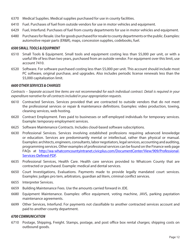- 6370 Medical Supplies. Medical supplies purchased for use in county facilities.
- 6410 Fuel. Purchases of fuel from outside vendors for use in motor vehicles and equipment.
- 6429 Fuel, Interfund. Purchases of fuel from county departments for use in motor vehicles and equipment.
- 6480 Purchases for Resale. Use for goods purchased for resale to county departments or the public. Examples: automotive repair parts (ER&R), maps, concession supplies, codebooks, fuel.

#### *6500 SMALL TOOLS & EQUIPMENT*

- 6510 Small Tools & Equipment. Small tools and equipment costing less than \$5,000 per unit, or with a useful life of less than two years, purchased from an outside vendor. For equipment over this limit, use account 7410.
- 6520 Software. For software purchased costing less than \$5,000 per unit. This account should include most PC software, original purchase, and upgrades. Also includes periodic license renewals less than the \$5,000 capitalization limit.

#### *6600 OTHER SERVICES & CHARGES*

*Contracts* – *Separate account line items are not recommended for each individual contract. Detail is required in your expenditure narrative for all contracts included in your appropriation requests.*

- 6610 Contracted Services. Services provided that are contracted to outside vendors that do not meet the professional services or repair & maintenance definitions. Examples: video production, towing, cleaning services, web hosting.
- 6620 Contract Employment. Fees paid to businesses or self-employed individuals for temporary services. Example: temporary employment services.
- 6625 Software Maintenance Contracts. Includes cloud-based software subscriptions.
- 6630 Professional Services. Services involving established professions requiring advanced knowledge or education. Services are predominantly mental or intellectual, rather than physical or manual. Examples: architects, engineers, consultants, labor negotiators, legal services, accounting and auditing, programming services. Other examples of professional services can be found on the Finance web page FAQs at [http://wa-whatcomcountyintranet.civicplus.com/DocumentCenter/View/909/Professional-](http://wa-whatcomcountyintranet.civicplus.com/DocumentCenter/View/909/Professional-Services-Defined-PDF)[Services-Defined-PDF](http://wa-whatcomcountyintranet.civicplus.com/DocumentCenter/View/909/Professional-Services-Defined-PDF).
- 6635 Professional Services, Health Care. Health care services provided to Whatcom County that are contracted or purchased. Example: medical and dental services.
- 6650 Court Investigations, Evaluations. Payments made to provide legally mandated court services. Examples: judges pro tem, arbitrators, guardian ad litem, criminal conflict services.
- 6655 Interpreter Services.
- 6659 Building Maintenance Fees. Use the amounts carried forward in JDE.
- 6680 Equipment Maintenance. Examples: office equipment, voting machine, JAVS, parking paystation maintenance agreements.
- 6699 Other Services, Interfund. For payments not classifiable to another contracted services account and paid to another county department.

#### *6700 COMMUNICATION*

6710 Postage, Shipping, Freight. Stamps, postage, and post office box rental charges; shipping costs on outbound goods.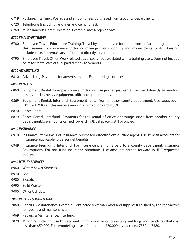- 6719 Postage, Interfund. Postage and shipping fees purchased from a county department.
- 6720 Telephone (including landlines and cell phones).
- 6760 Miscellaneous Communication. Example: messenger service.

#### *6770 EMPLOYEE TRAVEL*

- 6780 Employee Travel, Education/ Training. Travel by an employee for the purpose of attending a training class, seminar, or conference (including mileage, meals, lodging, and any incidental costs). Does not include costs for rental cars or fuel paid directly to vendors.
- 6790 Employee Travel, Other. Work related travel costs not associated with a training class. Does not include costs for rental cars or fuel paid directly to vendors.

#### *6800 ADVERTISING*

6810 Advertising. Payments for advertisements. Example: legal notices.

#### *6850 RENTALS*

- 6860 Equipment Rental. Example: copiers (including usage charges), rental cars paid directly to vendors, other vehicles, heavy equipment, office equipment, tools.
- 6869 Equipment Rental, Interfund. Equipment rental from another county department. Use subaccount .501 for ER&R vehicles and use amounts carried forward in JDE.
- 6870 Space Rental.
- 6879 Space Rental, Interfund. Payments for the rental of office or storage space from another county department.Use amounts carried forward in JDE if space is still occupied.

#### *6900 INSURANCE*

- 6910 Insurance Premiums. For insurance purchased directly from outside agent. Use benefit accounts for insurance applicable to personnel benefits.
- 6949 Insurance Premiums, Interfund. For insurance premiums paid to a county department. Insurance Assumptions: For tort fund insurance premiums. Use amounts carried forward in JDE requested budget.

#### *6950 UTILITY SERVICES*

- 6960 Water/ Sewer Services.
- 6970 Gas.
- 6980 Electric.
- 6990 Solid Waste.
- 7000 Other Utilities.

#### *7050 REPAIRS & MAINTENANCE*

- 7060 Repairs & Maintenance. Example: Contracted (external) labor and supplies furnished by the contractors for repairs and maintenance.
- 7069 Repairs & Maintenance, Interfund.
- 7070 Minor Remodeling. Use this account for improvements to existing buildings and structures that cost less than \$50,000. For remodeling costs of more than \$50,000, use account 7350 or 7380.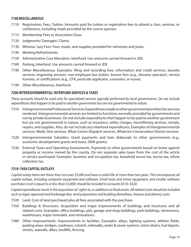#### *7100 MISCELLANEOUS*

- 7110 Registration, Fees, Tuition. Amounts paid for tuition or registration fees to attend a class, seminar, or conference, including meals provided by the course sponsor.
- 7115 Membership Fees or Association Dues.
- 7120 Judgments/ Damages/ Claims.
- 7130 Witness/ Jury Fees. Fees, meals, and supplies provided for witnesses and juries.
- 7140 Meeting Refreshments.
- 7159 Administrative Cost Allocation, Interfund. Use amounts carried forward in JDE.
- 7189 Parking, Interfund. Use amounts carried forward in JDE.
- 7190 Other Miscellaneous. Examples: filing and recording fees, information and credit services, laundry services, engraving services, non-employee bus tickets, license fees (e.g., elevator operator), service licenses, or certifications (e.g., CPA, pesticide applicator, counselor, or nurse).
- 7199 Other Miscellaneous, Interfund.

#### *7200 INTERGOVERNMENTAL/ INTERFUND SERVICES & TAXES*

*These accounts should be used only for specialized services typically performed by local governments. Do not include expenditures that happen to be paid to another government but are not governmental in nature.*

- 7210 Intergovernmental Professional Services. Expenditures made to other governmental entities for services rendered. Intergovernmental services are limited to functions normally provided by governments and not by private businesses. Do not include expenditures that happen to be paid to another government but are not governmental in nature, such as insurance, utility charges, microfilming services, rentals, repairs, and supplies. Also, do not include any interfund expenditures. Examples of intergovernmental services: Medic One services, What-Comm Dispatch services, Whatcom Conservation District services.
- 7220 Intergovernmental Subsidies. Grant payments and loan disbursals to other governments (e.g., economic development grants and loans, DEM grants).
- 7230 External Taxes and Operating Assessments. Payments to other governments based on levies against property or income owned by the county. Do not separate sales taxes from the cost of the article or service purchased. Examples: business and occupation tax, leasehold excise tax, excise tax, refuse collection tax.

#### *7310–7450 CAPITAL OUTLAYS*

*Capital outlay items are those that cost over \$5,000 and have a useful life of more than two years. This encompasses all capital outlays, including computer equipment and software. Small tools and minor equipment, and smaller software purchases (cost is equal to or less than \$5,000) should be included in accounts 6510–6520.*

*Capital expenditures result in the acquisition of, rights to, or additions to fixed assets. All related costs should be included such as legal, appraisal and brokerage fees, land preparation and building demolition, fixtures and delivery costs.*

- 7320 Land. Cost of land purchased plus all fees associated with the purchase.
- 7350 Buildings & Structures. Acquisition and major improvements of buildings and structures and all related costs. Examples: office buildings, jails, garage and shop buildings, park buildings, storerooms, warehouses, major remodels, and renovations.
- 7380 Other Improvements. Improvements to facilities. Examples: alleys, lighting systems, athletic fields, parking areas, bridges, roadways, culverts, sidewalks, water & sewer systems, storm drains, fuel depots, streets, seawalls, dikes, landfills, fencing.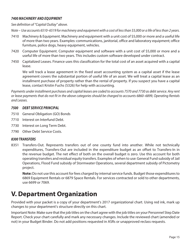#### <span id="page-17-0"></span>*7400 MACHINERY AND EQUIPMENT*

#### *See definition of "Capital Outlay" above.*

*Note* – *Use accounts 6510–6519 for machinery and equipment with a cost of less than \$5,000 or a life of less than 2 years.*

- 7410 Machinery & Equipment. Machinery and equipment with a unit cost of \$5,000 or more and a useful life of more than two years. Examples: communications, janitorial, office and laboratory equipment; office furniture, police dogs, heavy equipment, vehicles.
- 7420 Computer Equipment. Computer equipment and software with a unit cost of \$5,000 or more and a useful life of more than two years. This includes custom software developed under contract.
- 7450 Capitalized Leases. Finance uses this classification for the total cost of an asset acquired with a capital lease.

We will track a lease agreement in the fixed asset accounting system as a capital asset if the lease agreement covers the substantial portion of useful life of an asset. We will treat a capital lease as an installment purchase of property rather than the rental of property. If you suspect you have a capital lease, contact Kristin Fuchs (5326) for help with accounting.

*Payments under installment purchases and capital leases are coded to accounts 7570 and 7730 as debt service. Any rent or lease payments that do not fit in the above categories should be charged to accounts 6860–6899, Operating Rentals and Leases.*

#### *7500 DEBT SERVICE PRINCIPAL*

- 7510 General Obligation (GO) Bonds
- 7710 Interest on Interfund Debt.
- 7730 Interest on Long Term Debt.
- 7790 Other Debt Service Costs.

#### *8300 TRANSFERS*

8351 Transfers-Out. Represents transfers out of one county fund into another. While not technically expenditures, Transfers-Out are included in the expenditure budget as an offset to Transfers-In in the revenue budget. The net effect of both on the overall budget is zero. Use this account for both operating transfers and residual equity transfers. Examples of when to use: General Fund subsidy of Jail Operations, Flood Fund subsidy of Stormwater Operations, several department subsidy of Pictometry project.

**Note:** Do not use this account for fees charged by internal service funds. Budget those expenditures to 6869 Equipment Rentals or 6879 Space Rentals. For services contracted or sold to other departments, use 6699 or 7069.

## **V. Department Organization**

Provided with your packet is a copy of your department's 2017 organizational chart. Using red ink, mark up changes to your department's structure directly on this chart.

Important Note: Make sure that the job titles on the chart agree with the job titles on your Personnel Step Date Report. Check your chart carefully and mark any necessary changes. Include the reviewed chart (amended or not) in your Budget Binder. Do not add positions requested in ASRs or unapproved reclass requests.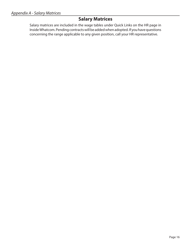### **Salary Matrices**

<span id="page-18-0"></span>Salary matrices are included in the wage tables under Quick Links on the HR page in Inside Whatcom. Pending contracts will be added when adopted. If you have questions concerning the range applicable to any given position, call your HR representative.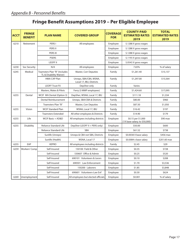### **Fringe Benefit Assumptions 2019 – Per Eligible Employee**

<span id="page-19-0"></span>

| <b>ACCT</b> | <b>FRINGE</b><br><b>BENEFIT</b> | <b>PLAN NAME</b>                                        | <b>COVERED GROUP</b>                               | <b>COVERAGE</b><br><b>FOR</b> | <b>COUNTY-PAID</b><br><b>ESTIMATED RATES</b><br>2019 | <b>TOTAL</b><br><b>ESTIMATED RATES</b><br>2019 |
|-------------|---------------------------------|---------------------------------------------------------|----------------------------------------------------|-------------------------------|------------------------------------------------------|------------------------------------------------|
| 6210        | Retirement                      | PERS I                                                  | All employees                                      | Employee                      | \$.1288 X gross wages                                |                                                |
|             |                                 | PERS II                                                 |                                                    | Employee                      | \$.1288 X gross wages                                |                                                |
|             |                                 | PERS III                                                |                                                    | Employee                      | \$.1288 X gross wages                                |                                                |
|             |                                 | <b>PSERS</b>                                            |                                                    | Employee                      | \$.1193 X gross wages                                |                                                |
|             |                                 | <b>LEOFF II</b>                                         |                                                    | Employee                      | \$.0543 X gross wages                                |                                                |
| 6230        | Soc Security                    | N/A                                                     | All employees                                      | Employee                      | 7.65%                                                | % of salary                                    |
| 6245        | Medical                         | Teamsters Plan "B" (Includes<br>TL & Disability Waiver) | Master, Corr Deputies                              | Family                        | \$1,261.40                                           | \$15,137                                       |
|             |                                 | HMA CAP Plan                                            | Unreps, SBA/CBA, WSNA,<br>Local 17, IBU, Districts | Family                        | \$1,297.00                                           | \$15,564                                       |
|             |                                 | <b>LEOFF Trust FX</b>                                   | DepSher only                                       | Family                        | Varies                                               |                                                |
|             |                                 | Masters, Mates & Pilots                                 | Ferry (3 MMP employees)                            | Family                        | \$1,424.60                                           | \$17,095                                       |
| 6255        | Dental                          | WCIF WA Dental (Option 3)                               | DepSher, WSNA, Local 17, IBU                       | Family                        | \$111.18                                             | \$1,334                                        |
|             |                                 | Dental Reimbursement                                    | Unreps, SBA/CBA & Districts                        | Family                        | \$80.00                                              | \$960                                          |
|             |                                 | Teamsters Plan "B"                                      | Master, Corr Deputies                              | Family                        | \$87.50                                              | \$1,050                                        |
| 6255        | Vision                          | <b>WCIF Standard Plan</b>                               | WSNA, Local 17, IBU                                | Family                        | \$16.42                                              | \$197                                          |
|             |                                 | <b>Teamsters Extended</b>                               | All other employees & Districts                    | Family                        | \$14.90                                              | \$179                                          |
| 6255        | Life                            | WCIF Basic + AD&D                                       | All employees including districts                  | Employee                      | \$0.15 per \$1,000<br>(1X base salary; to \$50,000)  | \$90 max                                       |
| 6255        | <b>Disability</b>               | Reliance Standard Life                                  | DepSher (LEOFF II + PERS only)                     | Employee                      | \$50.00                                              | \$600                                          |
|             |                                 | Reliance Standard Life                                  | SBA                                                | Employee                      | \$61.52                                              | \$738                                          |
|             |                                 | Sunlife (Unreps)                                        | Unreps & CBA not SBA, Districts                    | Employee                      | \$0.0038 X base salary                               | \$456 max                                      |
|             |                                 | Sunlife (Health)                                        | WSNA, Local 17                                     | Employee                      | \$0.0084 x base salary                               | \$201.60 max                                   |
| 6255        | EAP                             | <b>KEPRO</b>                                            | All employees including districts                  | Family                        | \$2.45                                               | \$29                                           |
| 6259        | <b>Workers' Comp</b>            | Self-Insured                                            | 150100 Field & Other                               | Employee                      | \$0.35                                               | \$728                                          |
|             |                                 | Self-Insured                                            | 530607 Office & Admin                              | Employee                      | \$0.25                                               | \$520                                          |
|             |                                 | Self-Insured                                            | 690101 Volunteers & Jurors                         | Employee                      | \$0.10                                               | \$208                                          |
|             |                                 | Self-Insured                                            | 690501 Law Enforcement                             | Employee                      | \$1.70                                               | \$3,536                                        |
|             |                                 | Self-Insured                                            | 150200 Laborers                                    | Employee                      | \$1.85                                               | \$3,848                                        |
|             |                                 | Self-Insured                                            | 690601 Volunteers-Law Enf                          | Employee                      | \$0.30                                               | \$624                                          |
| 6269        | Unemployment                    | Self-Insured                                            | All employees but elected officials                | Employee                      | \$0.001                                              | % of salary                                    |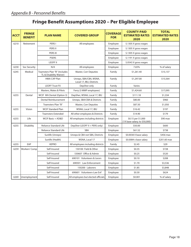### **Fringe Benefit Assumptions 2020 – Per Eligible Employee**

| <b>ACCT</b> | <b>FRINGE</b><br><b>BENEFIT</b> | <b>PLAN NAME</b>                                        | <b>COVERED GROUP</b>                               | <b>COVERAGE</b><br><b>FOR</b> | <b>COUNTY-PAID</b><br><b>ESTIMATED RATES</b><br>2020 | <b>TOTAL</b><br><b>ESTIMATED RATES</b><br>2020 |
|-------------|---------------------------------|---------------------------------------------------------|----------------------------------------------------|-------------------------------|------------------------------------------------------|------------------------------------------------|
| 6210        | Retirement                      | PERS I                                                  | All employees                                      | Employee                      | \$.1305 X gross wages                                |                                                |
|             |                                 | PERS II                                                 |                                                    | Employee                      | \$.1305 X gross wages                                |                                                |
|             |                                 | PERS III                                                |                                                    | Employee                      | \$.1305 X gross wages                                |                                                |
|             |                                 | <b>PSERS</b>                                            |                                                    | Employee                      | \$.1191 X gross wages                                |                                                |
|             |                                 | <b>LEOFF II</b>                                         |                                                    | Employee                      | \$.0543 X gross wages                                |                                                |
| 6230        | Soc Security                    | N/A                                                     | All employees                                      | Employee                      | 7.65%                                                | % of salary                                    |
| 6245        | Medical                         | Teamsters Plan "B" (Includes<br>TL & Disability Waiver) | Master, Corr Deputies                              | Family                        | \$1,261.40                                           | \$15,137                                       |
|             |                                 | HMA CAP Plan                                            | Unreps, SBA/CBA, WSNA,<br>Local 17, IBU, Districts | Family                        | \$1,297.00                                           | \$15,564                                       |
|             |                                 | <b>LEOFF Trust FX</b>                                   | DepSher only                                       | Family                        | Varies                                               |                                                |
|             |                                 | Masters, Mates & Pilots                                 | Ferry (3 MMP employees)                            | Family                        | \$1,424.60                                           | \$17,095                                       |
| 6255        | Dental                          | WCIF WA Dental (Option 3)                               | DepSher, WSNA, Local 17, IBU                       | Family                        | \$111.18                                             | \$1,334                                        |
|             |                                 | Dental Reimbursement                                    | Unreps, SBA/CBA & Districts                        | Family                        | \$80.00                                              | \$960                                          |
|             |                                 | Teamsters Plan "B"                                      | Master, Corr Deputies                              | Family                        | \$87.50                                              | \$1,050                                        |
| 6255        | Vision                          | <b>WCIF Standard Plan</b>                               | WSNA, Local 17, IBU                                | Family                        | \$16.42                                              | \$197                                          |
|             |                                 | <b>Teamsters Extended</b>                               | All other employees & Districts                    | Family                        | \$14.90                                              | \$179                                          |
| 6255        | Life                            | WCIF Basic + AD&D                                       | All employees including districts                  | Employee                      | \$0.15 per \$1,000<br>(1X base salary; to \$50,000)  | \$90 max                                       |
| 6255        | <b>Disability</b>               | Reliance Standard Life                                  | DepSher (LEOFF II + PERS only)                     | Employee                      | \$50.00                                              | \$600                                          |
|             |                                 | Reliance Standard Life                                  | SBA                                                | Employee                      | \$61.52                                              | \$738                                          |
|             |                                 | Sunlife (Unreps)                                        | Unreps & CBA not SBA, Districts                    | Employee                      | \$0.0038 X base salary                               | \$456 max                                      |
|             |                                 | Sunlife (Health)                                        | WSNA, Local 17                                     | Employee                      | \$0.0084 x base salary                               | \$201.60 max                                   |
| 6255        | EAP                             | <b>KEPRO</b>                                            | All employees including districts                  | Family                        | \$2.45                                               | \$29                                           |
| 6259        | <b>Workers' Comp</b>            | Self-Insured                                            | 150100 Field & Other                               | Employee                      | \$0.35                                               | \$728                                          |
|             |                                 | Self-Insured                                            | 530607 Office & Admin                              | Employee                      | \$0.25                                               | \$520                                          |
|             |                                 | Self-Insured                                            | 690101 Volunteers & Jurors                         | Employee                      | \$0.10                                               | \$208                                          |
|             |                                 | Self-Insured                                            | 690501 Law Enforcement                             | Employee                      | \$1.70                                               | \$3,536                                        |
|             |                                 | Self-Insured                                            | 150200 Laborers                                    | Employee                      | \$1.85                                               | \$3,848                                        |
|             |                                 | Self-Insured                                            | 690601 Volunteers-Law Enf                          | Employee                      | \$0.30                                               | \$624                                          |
| 6269        | Unemployment                    | Self-Insured                                            | All employees but elected officials                | Employee                      | \$0.001                                              | % of salary                                    |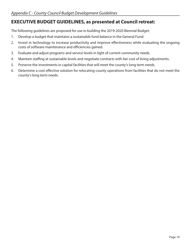### <span id="page-21-0"></span>**EXECUTIVE BUDGET GUIDELINES, as presented at Council retreat:**

The following guidelines are proposed for use in building the 2019-2020 Biennial Budget:

- 1. Develop a budget that maintains a sustainable fund balance in the General Fund.
- 2. Invest in technology to increase productivity and improve effectiveness while evaluating the ongoing costs of software maintenance and efficiencies gained.
- 3. Evaluate and adjust programs and service levels in light of current community needs.
- 4. Maintain staffing at sustainable levels and negotiate contracts with fair cost of living adjustments.
- 5. Preserve the investments in capital facilities that will meet the county's long term needs.
- 6. Determine a cost effective solution for relocating county operations from facilities that do not meet the county's long term needs.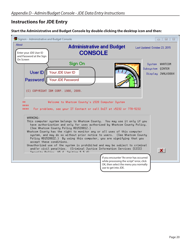### <span id="page-22-0"></span>**Instructions for JDE Entry**

#### **Start the Administrative and Budget Console by double clicking the desktop icon and then:**

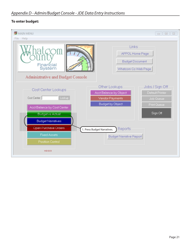#### **To enter budget:**

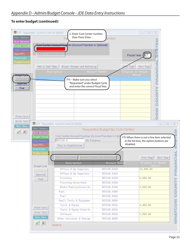### **To enter budget (continued):**

| Cost Centers                                  | 177 Requested (cycle 1) Cost Ctr (14102) | 2. Enter Cost Center number,<br>then Press Enter.<br>R٤                                             | enter)                            | $\boxed{\square}$<br>$\Sigma$<br>$\qquad \qquad \Box$ |                |
|-----------------------------------------------|------------------------------------------|-----------------------------------------------------------------------------------------------------|-----------------------------------|-------------------------------------------------------|----------------|
| <b>Rect Balance</b><br><b>Budget / Actual</b> |                                          | <b>t Nurg</b> ber (Account Number is Optional)                                                      |                                   |                                                       |                |
| <b>Bidgt filamatives</b><br>Open PO's         | Skin to Expenditures                     |                                                                                                     |                                   | Fiscal Year 17                                        |                |
| <b>Fixed Assets</b>                           |                                          |                                                                                                     |                                   |                                                       |                |
| Position Control                              | Add or Edit Memo                         | <b>Accept Changes and Redisplay</b>                                                                 |                                   | Next Page<br>Page                                     |                |
|                                               |                                          | Description                                                                                         | <b>Account Number</b>             | ごひろくNH<br>Original or Annual                          |                |
| B <del>udget Cycle</del>                      |                                          |                                                                                                     |                                   | Amount                                                |                |
| Requested<br>Approved<br>Final                |                                          | FYI - Make sure you select<br>"Requested" under Budget Cycle,<br>and enter the correct Fiscal Year. |                                   | r,                                                    |                |
|                                               |                                          |                                                                                                     |                                   | <b>HZDOO</b>                                          |                |
|                                               |                                          |                                                                                                     |                                   |                                                       |                |
|                                               |                                          |                                                                                                     |                                   |                                                       |                |
|                                               |                                          |                                                                                                     |                                   | <b>MÓ</b>                                             |                |
| Print Sorn                                    |                                          |                                                                                                     |                                   |                                                       |                |
| Error Text                                    |                                          | 177 Requested (cycle 1) Cost Ctr (14102)                                                            |                                   | $\Box$<br>$\qquad \qquad =\qquad$                     | $\Sigma\!$     |
| Main Menu                                     | Cost Centers                             |                                                                                                     | Requested Budget (by Cost Center) |                                                       |                |
| x                                             | <b>Acct Balance</b>                      |                                                                                                     |                                   |                                                       |                |
|                                               | Budget / Actual                          | Cost Center.Account Number (Account Number is Opti<br>507130.6<br>AS Finance                        |                                   | FYI: When there is not a line item selected           |                |
|                                               | Bidgt filarrative:<br>Open PO's          | Skip to Expenditures                                                                                |                                   | in the list-box, the option buttons are<br>disabled.  |                |
|                                               | <b>Fixed Assets</b>                      |                                                                                                     |                                   |                                                       |                |
|                                               | Position Control                         |                                                                                                     |                                   |                                                       |                |
|                                               |                                          | Add or Edit Memo                                                                                    | Rocept Changes and Redisplay      | Next Page<br>Prev Page                                | <b>ANCIAL</b>  |
|                                               |                                          | Description                                                                                         | <b>Account Number</b>             | Original or Annual<br><b>Amount</b>                   |                |
|                                               | <b>Budget Cycle</b><br>Requested         | Office & Op Supplies                                                                                | 507130.6320                       | 10,400.00                                             |                |
|                                               | <b>Approved</b>                          | Office & Op Supplies-                                                                               | 507130.6329                       |                                                       | É              |
|                                               | Final                                    | Printing                                                                                            | 507130.6330                       | 5,000.00                                              |                |
|                                               |                                          | Printing-Interfund                                                                                  | 507130.6339                       |                                                       | <b>COUNTY</b>  |
|                                               |                                          | Books-Publications-Su                                                                               | 507130.6340                       | 3,000.00                                              |                |
|                                               |                                          | Fuel                                                                                                | 507130.6400                       |                                                       |                |
|                                               |                                          | Fuel                                                                                                | 507130.6410                       |                                                       |                |
|                                               |                                          | Small Tools & Equipmen                                                                              | 507130.6500                       |                                                       |                |
|                                               | Print Sorn                               | Tools & Equip                                                                                       | 507130.6510                       | 3,400.00                                              |                |
|                                               | Error Text                               | Tools & Equip-Interfu                                                                               | 507130.6519                       |                                                       |                |
|                                               | Main Menu                                | Software                                                                                            | 507130.6520                       | 2,500.00                                              |                |
|                                               |                                          | Other Services & Charge                                                                             | 507130.6600                       |                                                       | <b>WHATCOM</b> |
|                                               |                                          |                                                                                                     |                                   |                                                       |                |
|                                               | $\mathbf{x}$<br>✓                        | WEXECB                                                                                              |                                   |                                                       |                |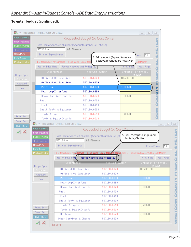### **To enter budget (continued):**

|                                         | 177 Requested (cycle 1) Cost Ctr (14102)                                 |                                                                                                              |                                     |                                                   |                    | $\begin{array}{c c c c c} \hline \multicolumn{3}{c }{\textbf{a}} & \multicolumn{3}{c }{\textbf{b}} \end{array}$<br>$\Sigma$ |                         |
|-----------------------------------------|--------------------------------------------------------------------------|--------------------------------------------------------------------------------------------------------------|-------------------------------------|---------------------------------------------------|--------------------|-----------------------------------------------------------------------------------------------------------------------------|-------------------------|
| Cost Centers<br><b>Acct Balance</b>     | Requested Budget (by Cost Center)                                        |                                                                                                              |                                     |                                                   |                    |                                                                                                                             |                         |
| Budget / Actual                         | <b>SYSTEM</b><br>Cost Center.Account Number (Account Number is Optional) |                                                                                                              |                                     |                                                   |                    |                                                                                                                             |                         |
| Bidgit Marrativec                       | 507130.6<br>AS Finance                                                   |                                                                                                              |                                     |                                                   |                    |                                                                                                                             |                         |
| Open PO's                               | Skip to Expenditures                                                     |                                                                                                              |                                     |                                                   |                    | $ 19\rangle$<br>'earl                                                                                                       |                         |
| <b>Fixed Assets</b>                     |                                                                          |                                                                                                              |                                     | 3. Edit amount (Expenditures are                  |                    |                                                                                                                             |                         |
| <b>Position Control</b>                 |                                                                          | RED items below have memos. To see memo, select item.                                                        |                                     | positive, revenues are negative)                  |                    | Edit Memo"                                                                                                                  |                         |
|                                         | Add or Edit Memo                                                         |                                                                                                              | <b>Recept Changes and Redisplay</b> |                                                   | <b>Prev Page</b>   | Next Page                                                                                                                   |                         |
|                                         |                                                                          | Description                                                                                                  |                                     | <b>Account Number</b>                             | Original or Annual | FINANCIAL                                                                                                                   |                         |
| <b>Budget Cycle</b><br><b>Requested</b> |                                                                          | Office & Op Supplies                                                                                         | 507130.6320                         |                                                   | 10,400.00          | Amount                                                                                                                      |                         |
| Approved                                |                                                                          | Office & Op Supplies-                                                                                        | 507130.6329                         |                                                   |                    |                                                                                                                             |                         |
| Final                                   | Printing                                                                 |                                                                                                              | 507130.6330                         |                                                   | 5,000.00           |                                                                                                                             |                         |
|                                         |                                                                          | Printing-Interfund                                                                                           | 507130.6339                         |                                                   |                    | È                                                                                                                           |                         |
|                                         |                                                                          | Books-Publications-Su                                                                                        | 507130.6340                         |                                                   | 3,000.00           |                                                                                                                             |                         |
|                                         | Fuel                                                                     |                                                                                                              | 507130.6400                         |                                                   |                    | 5<br>0<br>0                                                                                                                 |                         |
|                                         | Fuel                                                                     |                                                                                                              | 507130.6410                         |                                                   |                    |                                                                                                                             |                         |
|                                         |                                                                          | Small Tools & Equipmen                                                                                       | 507130.6500                         |                                                   |                    |                                                                                                                             |                         |
|                                         | Tools & Equip                                                            |                                                                                                              | 507130.6510                         |                                                   | 3,400.00           | <b>NSC</b>                                                                                                                  |                         |
|                                         |                                                                          |                                                                                                              |                                     |                                                   |                    |                                                                                                                             |                         |
|                                         |                                                                          | Tools & Equip-Interfu                                                                                        | 507130.6519                         |                                                   |                    |                                                                                                                             |                         |
|                                         |                                                                          |                                                                                                              |                                     |                                                   |                    |                                                                                                                             |                         |
|                                         |                                                                          | 177 Requested (cycle 1) Cost Ctr (14102)                                                                     |                                     |                                                   |                    |                                                                                                                             | $\qquad \qquad =\qquad$ |
| $\vert x \vert$                         | Cost Centers<br><b>Acct Balance</b>                                      |                                                                                                              |                                     | Requested Budget (by Cost Center)                 |                    |                                                                                                                             |                         |
|                                         | Budget / Actual                                                          |                                                                                                              |                                     | Cost Center.Account Number (Account Number is Opt |                    | 4. Press "Accept Changes and                                                                                                |                         |
|                                         | Bidgt Narrativec                                                         | 507130.6                                                                                                     | AS Finance                          |                                                   |                    | Redisplay" button.                                                                                                          |                         |
|                                         | Open PO's                                                                | Skip to Expenditures                                                                                         |                                     |                                                   |                    | Fiscal Year                                                                                                                 | 19                      |
|                                         | <b>Fixed Assets</b>                                                      |                                                                                                              |                                     |                                                   |                    |                                                                                                                             |                         |
|                                         | <b>Position Control</b>                                                  | RED items below have memos. To see memo, select item and double click OR select and press "Add or Edit Memo" |                                     |                                                   |                    |                                                                                                                             |                         |
|                                         |                                                                          | Add or Edit Memo                                                                                             |                                     | Recept Changes and Redisplay                      |                    | Prev Page                                                                                                                   | Next Page               |
|                                         |                                                                          | Description                                                                                                  |                                     | <b>Account Number</b>                             |                    | Original or Annual                                                                                                          |                         |
|                                         | <b>Budget Cycle</b>                                                      | Office & Op Supplies                                                                                         |                                     | 507130.6320                                       |                    | Amount,<br>10,400.00                                                                                                        |                         |
|                                         | Requested                                                                | Office & Op Supplies-                                                                                        |                                     | 507130.6329                                       |                    |                                                                                                                             |                         |
|                                         | <b>Approved</b><br>Final                                                 | Printing                                                                                                     |                                     | 507130.6330                                       |                    | ,000.00                                                                                                                     |                         |
|                                         |                                                                          | Printing-Interfund                                                                                           |                                     | 507130.6339                                       |                    |                                                                                                                             |                         |
|                                         |                                                                          | Books-Publications-Su                                                                                        |                                     | 507130.6340                                       |                    | 3,000.00                                                                                                                    |                         |
|                                         |                                                                          | Fuel                                                                                                         |                                     | 507130.6400                                       |                    |                                                                                                                             |                         |
|                                         |                                                                          | Fuel                                                                                                         |                                     | 507130.6410                                       |                    |                                                                                                                             |                         |
|                                         |                                                                          | Small Tools & Equipmen                                                                                       |                                     | 507130.6500                                       |                    |                                                                                                                             |                         |
|                                         |                                                                          | Tools & Equip                                                                                                |                                     | 507130.6510                                       |                    | 3,400.00                                                                                                                    |                         |
|                                         | Print Sorn                                                               | Tools & Equip-Interfu                                                                                        |                                     | 507130.6519                                       |                    |                                                                                                                             |                         |
| Print Sorn<br>Error Text<br>Main Menu   | Error Text<br>Main Menu                                                  | Software                                                                                                     |                                     | 507130.6520                                       |                    | 2,300.00                                                                                                                    |                         |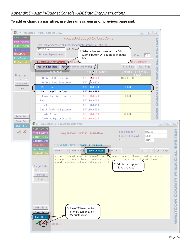#### **To add or change a narrative, use the same screen as on previous page and:**

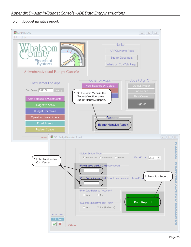#### To print budget narrative report:

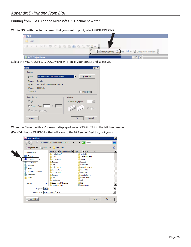<span id="page-28-0"></span>Printing from BPA Using the Microsoft XPS Document Writer:

Within BPA, with the item opened that you want to print, select PRINT OPTIONS.



Select the MICROSOFT XPS DOCUMENT WRITER as your printer and select OK.

| <b>Print</b>  |                               |                                                                |  |
|---------------|-------------------------------|----------------------------------------------------------------|--|
| Printer       |                               |                                                                |  |
| Name:         | Microsoft XPS Document Writer | −∣<br>Properties                                               |  |
| Status:       | Ready                         |                                                                |  |
| Type:         | Microsoft XPS Document Writer |                                                                |  |
| Where:        | XPSPort:                      |                                                                |  |
| Comment:      |                               | $\Box$ Print to File                                           |  |
| Print Range   |                               | Copies                                                         |  |
| $G$ All       |                               | $1 -$<br>Number of Copies:                                     |  |
| C Pages From: | To:                           |                                                                |  |
|               | C Selected Record(s)          | $1^{2^{3}}$<br>$1^{2^2}$<br>$\overline{\triangledown}$ Collate |  |
|               |                               |                                                                |  |
| Setup         |                               | Cancel<br>OK                                                   |  |

When the "Save the file as" screen is displayed, select COMPUTER in the left hand menu. (Do NOT choose DESKTOP – that will save to the BPA server Desktop, not yours.)

| Save the file as                                                                                                         |                                                                                                                                                                                                 |                                                                                                                                                                                                            | 図                        |
|--------------------------------------------------------------------------------------------------------------------------|-------------------------------------------------------------------------------------------------------------------------------------------------------------------------------------------------|------------------------------------------------------------------------------------------------------------------------------------------------------------------------------------------------------------|--------------------------|
|                                                                                                                          | DTothBan (\\co.whatcom.wa.us\root\U                                                                                                                                                             | $\blacktriangleright$ $\blacktriangleright$ Search                                                                                                                                                         | $ \Omega $               |
| Organize ▼ Will Views ▼ Thew Folder<br>剛                                                                                 |                                                                                                                                                                                                 |                                                                                                                                                                                                            |                          |
| <b>Favorite Links</b><br>Desktop<br>Computer<br>Documents<br>Pictures<br>Music<br>Recently Changed<br>Searches<br>Public | Name $\angle$ $\mathbf{r}$ Date modified $\mathbf{r}$ Type<br>Windows7<br><b>DTB</b><br>Applications<br>Backups<br>CAB<br>Call Phones<br>Certifications<br>Consultants<br>Copiers<br><b>CTS</b> | $\overline{\phantom{a}}$ Size<br>$\mathbf{I}$<br>astasini<br><b>Active Directory</b><br>Audits<br><b>Budgets</b><br>Calendars<br>Cascadia Rising<br>Cisco SCC<br>Contracts<br>County Survey<br>Data Center |                          |
| Ä<br><b>Folders</b><br>File name:   *.xps<br>Save as type:  XPS Document (*.xps)                                         | <b>Databases</b><br>Department CheckIns<br><b>Danmontstian</b>                                                                                                                                  | Dell<br><b>DIS</b><br><b>Documento</b>                                                                                                                                                                     | $\overline{\phantom{a}}$ |
| Hide Folders                                                                                                             |                                                                                                                                                                                                 | Save                                                                                                                                                                                                       | Cancel<br>h              |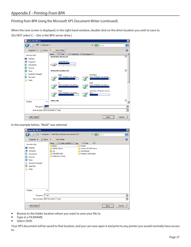Printing from BPA Using the Microsoft XPS Document Writer (continued):

When the next screen is displayed, in the right hand window, double click on the drive location you wish to save to. (Do NOT select C: – this is the BPA server drive.)

| Save the file as                                |                                                                                                                     | $\vert x \vert$          |
|-------------------------------------------------|---------------------------------------------------------------------------------------------------------------------|--------------------------|
| - Computer -                                    | $\blacktriangleright$ $\blacktriangleright$ Search                                                                  | $\mathbf{p}$             |
| <b>三 Views</b><br>Organize $\blacktriangledown$ | New Folder<br>▼                                                                                                     | $\overline{\mathbf{Q}}$  |
| <b>Favorite Links</b>                           | Total Size $\left  \cdot \right $ Free Space $\left  \cdot \right $<br>$\mathbf{F}$<br>$\mathbf{F}$<br>Type<br>Name |                          |
| Desktop                                         | <b>Hard Disk Drives (1)</b>                                                                                         | Θ                        |
| Computer                                        | Local Disk (C:)                                                                                                     |                          |
| Documents                                       | 25.7 GB free of 67.9 GB                                                                                             |                          |
| <b>Pictures</b>                                 |                                                                                                                     |                          |
| <b>Music</b>                                    | <b>Network Location (6)</b>                                                                                         | 日                        |
| Recently Changed                                | <b>DTothBan</b><br>Apps                                                                                             |                          |
| <b>Searches</b>                                 | (\\co.whatcom.wa.us\ro<br>(\\co.whatcom.wa.us\roo                                                                   |                          |
| Public                                          |                                                                                                                     |                          |
|                                                 | Multi<br>п<br>(\\co.whatcom.wa.us\roo<br>(\\co.whatcom.wa.us\ro                                                     |                          |
|                                                 |                                                                                                                     |                          |
|                                                 | root (\\co.whatcom.wa.us)<br>Maps                                                                                   |                          |
|                                                 | (\\co.whatcom.wa.us\roo<br>(W:                                                                                      |                          |
|                                                 |                                                                                                                     |                          |
|                                                 | Other (8)                                                                                                           | Θ                        |
| <b>Folders</b><br>^                             |                                                                                                                     |                          |
| *.xps<br>File name:                             |                                                                                                                     |                          |
| Save as type:  XPS Document (*.xps)             |                                                                                                                     | $\overline{\phantom{0}}$ |
|                                                 |                                                                                                                     |                          |
|                                                 |                                                                                                                     |                          |
| <b>Hide Folders</b>                             | Save                                                                                                                | Cancel                   |

In the example below, "Multi" was selected.

| Save the file as                                                                                                                                |                                                                                                                                                                                                                                                              | $\mathbf{z}$                |
|-------------------------------------------------------------------------------------------------------------------------------------------------|--------------------------------------------------------------------------------------------------------------------------------------------------------------------------------------------------------------------------------------------------------------|-----------------------------|
|                                                                                                                                                 | $\blacktriangleright$ $\binom{C}{2}$ Search<br>Computer - Multi (\\co.whatcom.wa.us\root) (J:) -                                                                                                                                                             | $\left  \mathbf{e} \right $ |
| $\Box$ Organize                                                                                                                                 | <b>William</b> Views ▼ <b>T</b> New Folder                                                                                                                                                                                                                   |                             |
| <b>Favorite Links</b><br>Desktop<br>Computer<br>Documents<br>Pictures<br>Music<br>Recently Changed<br>Searches<br>Public<br><b>Folders</b><br>ㅅ | Name $\angle$ $\mathbf{r}$ Date modified $\mathbf{r}$ Type<br>$\mathbf{F}$ Size<br>$\vert$<br>Budget<br>Admin<br><b>Bulletin Board</b><br>County GPT EIS Hours<br>NWAShared<br>$\overline{B}$ GIS<br>Projects_Technology<br>PDR 2009-028<br>Reference Center |                             |
| $*$ , xps<br>File name:                                                                                                                         |                                                                                                                                                                                                                                                              |                             |
| Save as type:  XPS Document (*.xps)                                                                                                             |                                                                                                                                                                                                                                                              | $\overline{\phantom{0}}$    |
| Hide Folders                                                                                                                                    | Save                                                                                                                                                                                                                                                         | Cancel<br>h                 |

- Browse to the folder location where you want to save your file to.
- Type in a FILENAME.
- Select SAVE.

Your XPS document will be saved to that location, and you can now open it and print to any printer you would normally have access to.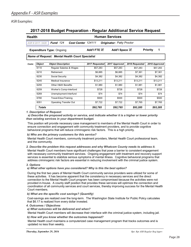#### <span id="page-30-0"></span>ASR Examples:

#### **2017-2018 Budget Preparation - Regular Additional Service Request**

#### **Health Human Services**

*ASR # 2017- 5428 Fund 124 Cost Center 124111 Originator: Patty Proctor*

**Expenditure Type:** Ongoing **Add'l FTE**  $\textbf{✓}$ Add'l Space **■** Priority 1

*Name of Request: Mental Health Court Specialist*

| Costs: | <b>Object</b> | <b>Object Description</b> | 2017 Requested | 2017 Approved | 2018 Requested | 2018 Approved |
|--------|---------------|---------------------------|----------------|---------------|----------------|---------------|
|        | 6110          | Regular Salaries & Wages  | \$57.283       | \$57.283      | \$57.283       | \$57,283      |
|        | 6210          | Retirement                | \$6,885        | \$6,885       | \$7.361        | \$7,361       |
|        | 6230          | Social Security           | \$4,382        | \$4,382       | \$4,382        | \$4,382       |
|        | 6245          | Medical Insurance         | \$13.211       | \$13.211      | \$13.211       | \$13.211      |
|        | 6255          | Other H&W Benefits        | \$1.980        | \$1.980       | \$1.981        | \$1,981       |
|        | 6259          | Worker's Comp-Interfund   | \$728          | \$728         | \$728          | \$728         |
|        | 6269          | Unemployment-Interfund    | \$74           | \$74          | \$74           | \$74          |
|        | 6780          | Travel-Educ/Training      | \$500          | \$500         | \$500          | \$500         |
|        | 8351          | Operating Transfer Out    | \$7.722        | \$7.722       | \$7.765        | \$7.765       |
|        | <b>Totals</b> |                           | \$92,765       | \$92.765      | \$93.285       | \$93.285      |

#### *1. Description of Request:*

 *a) Describe the proposed activity or service, and indicate whether it is a higher or lower priority than existing services in your department budget.*

This position will provide necessary case management to members of the Mental Health Court in order to ensure connection and engagement with community treatment providers, and to provide cognitive behavioral programs that will reduce criminogenic risk factors. This is a high priority.

#### *b) Who are the primary customers for this service?*

Mental Health Court members, community treatment providers, Mental Health Court professional team, and the community.

#### Mental Health Court members have significant challenges that pose a barrier to consistent engagement *2. Describe the problem this request addresses and why Whatcom County needs to address it.*

with necessary community treatment services. Ongoing engagement with treatment and recovery support services is essential to stabilize serious symptoms of mental illness. Cognitive behavioral programs that address criminogenic risk factors are essential in reducing involvement with the criminal justice system.

#### *3. Options*

#### *a) What other options have you considered? Why is this the best option?*

During the first two years of Mental Health Court community service providers were utilized for some of these activities. It has become apparent that the consistency in necessary services and the direct connection to the Mental Health Court program has been compromised because the activities were not provided in-house. A county staff position that provides these services will optimize the connection and coordination of all community services and court services, thereby improving success for the Mental Health Court members.

#### *b) What are the specific cost savings? (Quantify)*

Cost-savings are realized over the long-term. The Washington State Institute for Public Policy calculates that \$6.17 is realized from every dollar invested.

#### *4. Outcomes / Objectives*

 *a) What outcomes will be delivered and when?*

Mental Health Court members will decrease their interface with the criminal justice system, including jail.

#### *b) How will you know whether the outcomes happened?*

Mental Health court maintains a computerized case management program that tracks outcomes and is updated no less than weekly.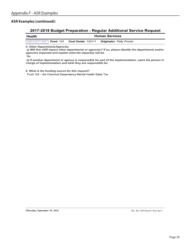#### **ASR Examples (continued):**

#### **2017-2018 Budget Preparation - Regular Additional Service Request**

| Health | <b>Human Services</b> |  |                                                                              |  |
|--------|-----------------------|--|------------------------------------------------------------------------------|--|
|        |                       |  | $ $ ASR # 2017- 5428   Fund 124 Cost Center 124111 Originator: Patty Proctor |  |

*5. Other Departments/Agencies*

 *a) Will this ASR impact other departments or agencies? If so, please identify the departments and/or agencies impacted and explain what the impact(s) will be.*

No

 *b) If another department or agency is responsible for part of the implementation, name the person in charge of implementation and what they are responsible for.*

*6. What is the funding source for this request?*

Fund 124 – the Chemical Dependency Mental Health Sales Tax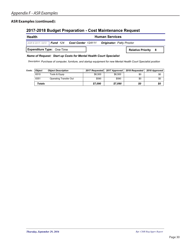#### **ASR Examples (continued):**

### **2017-2018 Budget Preparation - Cost Maintenance Request**

#### **Health Human Services**

*ASR # 2017- 5472 Fund 124 Cost Center 124111 Originator: Patty Proctor*

**Expenditure Type:** One-Time **Relative Priority 8** 

*Name of Request: Start up Costs for Mental Health Court Specialist*

*Purchase of computer, furniture, and startup equipment for new Mental Health Court Specialist position Description:*

| Costs: | <b>Obiect</b> | <b>Object Description</b> | 2017 Requested | 2017 Approved | 2018 Requested | 2018 Approved |
|--------|---------------|---------------------------|----------------|---------------|----------------|---------------|
|        | 6510          | Tools & Equip             | \$6.500        | \$6.500       | \$0            | \$0           |
|        | 8351          | Operating Transfer Out    | \$590          | \$590         | \$0            | \$0           |
|        | <b>Totals</b> |                           | \$7.090        | \$7.090       | \$0            | \$0           |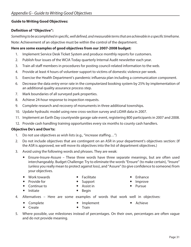#### <span id="page-33-0"></span>**Guide to Writing Good Objectives:**

#### **Definition of "Objective":**

*Something to be accomplished in specific, well defined, and measurable terms that are achievable in a specific timeframe.* Note: Achievement of an objective must be within the control of the department.

#### **Here are some examples of good objectives from our 2007-2008 budget:**

- 1. Implement Service Desk Ticket System and produce monthly reports for customers.
- 2. Publish four issues of the WCIA Today quarterly Internal Audit newsletter each year.
- 3. Train all staff members in procedures for posting council-related information to the web.
- 4. Provide at least 4 hours of volunteer support to victims of domestic violence per week.
- 5. Exercise the Health Department's pandemic influenza plan including a communication component.
- 6. Decrease the data entry error rate in the computerized booking system by 25% by implementation of an additional quality assurance process step.
- 7. Mark boundaries of all surveyed park properties.
- 8. Achieve 24-hour response to inspection requests.
- 9. Complete research and recovery of monuments in three additional townships.
- 10. Update hydraulic model using new cross-section survey and LiDAR data in 2007.
- 11. Implement an Earth Day countywide garage sale event, registering 800 participants in 2007 and 2008.
- 12. Provide cash handling training opportunities every six months to county cash handlers.

#### **Objective Do's and Don'ts:**

- 1. Do not use objectives as wish lists (e.g., "increase staffing…")
- 2. Do not include objectives that are contingent on an ASR in your department's objectives section: (If the ASR is approved, we will move its objectives into the list of department objectives.)
- 3. Avoid using the following words and phrases. They are weak:
	- Ensure-Insure-Assure These three words have three separate meanings, but are often used interchangeably. Budget Challenge: Try to eliminate the words "Ensure" (to make certain), "Insure" (unless you really mean to protect against loss), and "Assure" (to give confidence to someone) from your objectives.
	- Work towards
- Facilitate

• Provide for

Support

- $\bullet$  Enhance
	- Improve
	- Pursue

• Continue to

 $\bullet$  Initiate

- Assist in
- $\bullet$  Begin
- 4. Alternatives Here are some examples of words that work well in objectives:
	- Complete

• Implement

 $\bullet$  Achieve

- Create • Train
- 5. Where possible, use milestones instead of percentages. On their own, percentages are often vague and do not provide meaning.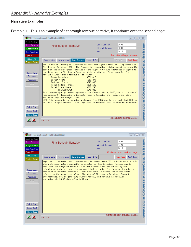### <span id="page-34-0"></span>**Narrative Examples:**

Example 1 – This is an example of a thorough revenue narrative; it continues onto the second page:

|                                                                                                      | 11B Explanations of Final Budget (0016)                                                                                                                                                                                                                                                                                                                                                                                                                                                                                                                                                                                                                                                                             |                                                                                         | $\boxed{=}$<br>$\Box$                            | $\Sigma$ |
|------------------------------------------------------------------------------------------------------|---------------------------------------------------------------------------------------------------------------------------------------------------------------------------------------------------------------------------------------------------------------------------------------------------------------------------------------------------------------------------------------------------------------------------------------------------------------------------------------------------------------------------------------------------------------------------------------------------------------------------------------------------------------------------------------------------------------------|-----------------------------------------------------------------------------------------|--------------------------------------------------|----------|
| Cost Centers<br><b>Acct Balance</b><br><b>Budget / Actual</b><br><b>Bdgt Narratives</b><br>Open PO's | Final Budget - Narrative                                                                                                                                                                                                                                                                                                                                                                                                                                                                                                                                                                                                                                                                                            | Cost Center<br>Object Rocount<br>Year                                                   | 2600<br>4333<br>2018<br>Press Next Page for More |          |
| <b>Fixed Assets</b><br>Position Control<br><b>Budget Cycle</b><br>Requested<br>Approved<br>Final     | Delete Line   Save Changes<br>Insert Line<br>The source of funding is a revenue reimbursement grant from DSHS, Department of<br>Children's Services (DCS). The formula for computing reimbursement is primarily<br>based on the annual gross salaries of the eight full-time employees assigned to<br>our department's Children's Services Division (Support Enforcement). The<br>revenue reimbursement formula is as follows:<br>Gross Salaries<br>Direct Costs<br>Indirect Costs<br>Total Federal Share<br>Total State Share<br>REIMBURSEMENT<br>This revenue appropriation represents the Federal share, \$675,130, of the annual<br>reimbursement. Accounting principals require tracking the federal and state | User Info<br>\$551,813<br>\$253,477<br>\$217,635<br>\$675,130<br>\$273,798<br>\$948,928 | Next Page<br>Prev Page                           |          |
| Print Scrn<br>Error Text<br>Main Menu<br>$\vee$ X                                                    | shares in separate budget lines.<br>NOTE This appropriation remains unchanged from 2017 due to the fact that DCS has<br>an annual budget process. It is important to remember that revenue reimbursement<br><b>WEXECB</b>                                                                                                                                                                                                                                                                                                                                                                                                                                                                                           |                                                                                         | Press Next Page for More                         |          |

|                                                                                                             | 11B Explanations of Final Budget (0016)                                                                                                                                                                                                                                                                                                                                                                                                                                                                                                                                                                    |                                       | $\Box$<br>$\Box$                                     | $\Sigma$             |
|-------------------------------------------------------------------------------------------------------------|------------------------------------------------------------------------------------------------------------------------------------------------------------------------------------------------------------------------------------------------------------------------------------------------------------------------------------------------------------------------------------------------------------------------------------------------------------------------------------------------------------------------------------------------------------------------------------------------------------|---------------------------------------|------------------------------------------------------|----------------------|
| <b>Cost Centers</b><br><b>Acct Balance</b><br><b>Budget / Actual</b><br><b>Bdgt Narratives</b><br>Open PO's | Final Budget - Narrative                                                                                                                                                                                                                                                                                                                                                                                                                                                                                                                                                                                   | Cost Center<br>Object Rocount<br>Year | 2600<br>4333<br>2018<br>Continued from previous page |                      |
| <b>Fixed Assets</b><br><b>Position Control</b>                                                              | Insert Line<br>Delete Line<br>Save Changes                                                                                                                                                                                                                                                                                                                                                                                                                                                                                                                                                                 | User Info                             | Prev Page<br>Next Page                               |                      |
| <b>Budget Cycle</b><br>Requested<br>Approved<br>Final                                                       | important to remember that revenue reimubursement from DCS is based on a formula<br>which utilizes actual expenditures related to this Division. Revenue may be<br>less than the budgeted revenue if actual expenditures billed during the<br>calendar year do not equal the appropriated estimate. The formula attempts to<br>ensure that Counties recover all administrative, overhead and actual costs<br>related to the operations of our Division of Children's Services (Support<br>Enforcement). DCS is generally billed monthly and revenue is received<br>approximatelu 30-45 daus after billing. |                                       |                                                      | FINANCIAL<br>ာ<br>၁၀ |
| Print Scrn<br>Error Text<br>Main Menu                                                                       |                                                                                                                                                                                                                                                                                                                                                                                                                                                                                                                                                                                                            |                                       | Continued from previous page                         | <b>MHATCOM</b>       |
| $\vee$ x                                                                                                    | WEXECB                                                                                                                                                                                                                                                                                                                                                                                                                                                                                                                                                                                                     |                                       |                                                      |                      |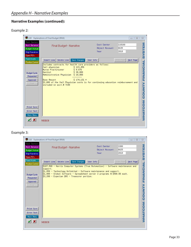### **Narrative Examples (continued):**

### Example 2:

| 11B Explanations of Final Budget (0016)<br>$\Sigma$<br>$\Box$<br>$\Box$                              |                                                                                                                                                                                                                                                                                                                                               |                                       |                                              |  |  |  |
|------------------------------------------------------------------------------------------------------|-----------------------------------------------------------------------------------------------------------------------------------------------------------------------------------------------------------------------------------------------------------------------------------------------------------------------------------------------|---------------------------------------|----------------------------------------------|--|--|--|
| Cost Centers<br><b>Acct Balance</b><br><b>Budget / Actual</b><br><b>Bdgt Narratives</b><br>Open PO's | Final Budget - Narrative                                                                                                                                                                                                                                                                                                                      | Cost Center<br>Object Rocount<br>Year | 118168<br>6635<br>2018                       |  |  |  |
| <b>Fixed Assets</b><br><b>Position Control</b>                                                       | Delete Line<br>Save Changes<br>Insert Line                                                                                                                                                                                                                                                                                                    | User Info                             | Prev Page<br>Next Page                       |  |  |  |
| <b>Budget Cycle</b><br>Requested<br>Approved<br>Final<br>Print Scrn                                  | Includes contracts for health care providers as follows:<br>\$123,456<br>Jail physician<br>Nurse Practitioner<br>\$9.875<br>\$30,000<br>Dentist<br>\$10,800<br>Administrative Physician<br>$$174,131*$<br><b>Base Amount</b><br>$ 2,000$ of the Jail Physician costs is for continuing education reimbursement and<br>included in acct.# 7190 |                                       | FINANCIAL<br><b>NHNDOO</b><br><b>MHATCOM</b> |  |  |  |
| Error Text<br>Main Menu                                                                              |                                                                                                                                                                                                                                                                                                                                               |                                       |                                              |  |  |  |
| $\vee$ X                                                                                             | WEXECB                                                                                                                                                                                                                                                                                                                                        |                                       |                                              |  |  |  |

### Example 3:

|                                                                                                      | 11B Explanations of Final Budget (0016)                                                                                                                                                                                                                                                                                                         |                                       | $\Sigma$<br>回<br>$\Box$        |
|------------------------------------------------------------------------------------------------------|-------------------------------------------------------------------------------------------------------------------------------------------------------------------------------------------------------------------------------------------------------------------------------------------------------------------------------------------------|---------------------------------------|--------------------------------|
| <b>Cost Centers</b><br><b>Acct Balance</b><br>Budget / Actual<br><b>Bdgt Narratives</b><br>Open PO's | Final Budget - Narrative                                                                                                                                                                                                                                                                                                                        | Cost Center<br>Object Rocount<br>Year | 3300<br>6625<br>2018           |
| <b>Fixed Assets</b><br><b>Position Control</b><br><b>Budget Cycle</b><br>Requested                   | Delete Line Save Changes<br>Insert Line<br>\$107,500 - Harris Computer Systems (True Automation) - Software maintenance and<br>support.<br>$ \$1,050$ – Technology Unlimited – Software maintenance and support.<br> \$1,000 - Global Software - Spreadsheet server 2 programs @ \$500.00 each.<br> \$3,200 - Experian QAS - Treasurer portion. | User Info                             | Prev Page<br>Next Page<br>くごとく |
| Approved<br>Final                                                                                    |                                                                                                                                                                                                                                                                                                                                                 |                                       | ر<br>و                         |
| Print Scrn<br>Error Text<br>Main Menu<br>$\vee$ $\times$                                             | WEXECB                                                                                                                                                                                                                                                                                                                                          |                                       | <b>NOSUPH</b>                  |
|                                                                                                      |                                                                                                                                                                                                                                                                                                                                                 |                                       |                                |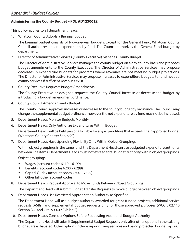#### <span id="page-36-0"></span>**Administering the County Budget – POL AD123001Z**

This policy applies to all department heads.

1. Whatcom County Adopts a Biennial Budget

The biennial budget consists of two-one-year budgets. Except for the General Fund, Whatcom County Council authorizes annual expenditures by fund. The Council authorizes the General Fund budget by department.

2. Director of Administrative Services (County Executive) Manages County Budget

The Director of Administrative Services manages the county budget on a day-to- day basis and proposes budget amendments to the County Executive. The Director of Administrative Services may propose decreases in expenditure budgets for programs where revenues are not meeting budget projections. The Director of Administrative Services may propose increases to expenditure budgets to fund needed county services if sufficient revenues exist.

3. County Executive Requests Budget Amendments

The County Executive or designee requests the County Council increase or decrease the budget by introducing a budget amendment ordinance.

4. County Council Amends County Budget

The County Council approves increases or decreases to the county budget by ordinance. The Council may change the supplemental budget ordinance, however the net expenditure by fund may not be increased.

- 5. Department Heads Monitor Budgets Monthly
- 6. Department Heads Only Authorize Expenditures Within Budget

Department Heads will be held personally liable for any expenditure that exceeds their approved budget (Whatcom County Charter Sec. 6.90).

7. Department Heads Have Spending Flexibility Only Within Object Groupings

Within object groupings in the same fund, the Department Head can use budgeted expenditure authority between line items. Department Heads must not exceed total budget authority within object groupings.

Object groupings:

- Wages (account codes 6110 6199)
- Benefits (account codes 6200 6299)
- Capital Outlay (account codes 7300 7499)
- Other (all other account codes)
- 8. Department Heads Request Approval to Move Funds Between Object Groupings

The Department Head will submit Budget Transfer Requests to move budget between object groupings.

9. Department Heads Use Restricted Appropriation Authority as Specified

The Department Head will use budget authority awarded for grant-funded projects, additional service requests (ASRs), and supplemental budget requests only for those approved purposes (WCC 3.02.110 Section B.4. and Ord. 93-042 Exhibit E).

10. Department Heads Consider Options Before Requesting Additional Budget Authority

The Department Head will submit Supplemental Budget Requests only after other options in the existing budget are exhausted. Other options include reprioritizing services and using projected budget lapses.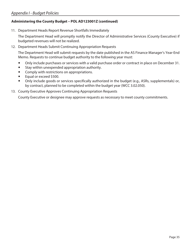#### **Administering the County Budget – POL AD123001Z (continued)**

11. Department Heads Report Revenue Shortfalls Immediately

The Department Head will promptly notify the Director of Administrative Services (County Executive) if budgeted revenues will not be realized.

12. Department Heads Submit Continuing Appropriation Requests

The Department Head will submit requests by the date published in the AS Finance Manager's Year-End Memo. Requests to continue budget authority to the following year must:

- Only include purchases or services with a valid purchase order or contract in place on December 31.
- Stay within unexpended appropriation authority.
- Comply with restrictions on appropriations.
- $\bullet$  Equal or exceed \$500.
- Only include goods or services specifically authorized in the budget (e.g., ASRs, supplementals) or, by contract, planned to be completed within the budget year (WCC 3.02.050).
- 13. County Executive Approves Continuing Appropriation Requests

County Executive or designee may approve requests as necessary to meet county commitments.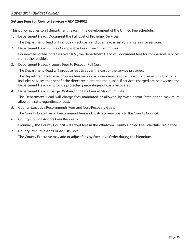#### **Setting Fees for County Services – AD123400Z**

This policy applies to all department heads in the development of the Unified Fee Schedule.

1. Department Heads Document the Full Cost of Providing Services

The Department Head will include direct costs and overhead in establishing fees for services.

2. Department Heads Survey Comparable Fees From Other Entities

For new fees or fee increases over 10%, the Department Head will document fees for comparable services from other entities.

3. Department Heads Propose Fees to Recover Full Cost

The Department Head will propose fees to cover the cost of the service provided.

The Department Head may propose fees below cost when services provide a public benefit. Public benefit includes services that benefit the direct recipient and the public. If services charged are below cost, the Department Head will provide projected percentages of costs recovered.

4. Department Heads Charge Washington State Fees at Maximum Rate

The Department Head will charge fees mandated or allowed by Washington State at the maximum allowable rate, regardless of cost.

5. County Executive Recommends Fees and Cost-Recovery Goals

The County Executive will recommend fees and cost-recovery goals to the County Council.

- 6. County Council Adopts Fees Biennially Biennially, the County Council will adopt fees in the Whatcom County Unified Fee Schedule Ordinance.
- 7. County Executive Adds or Adjusts Fees The County Executive may add or adjust fees by Executive Order during the biennium.